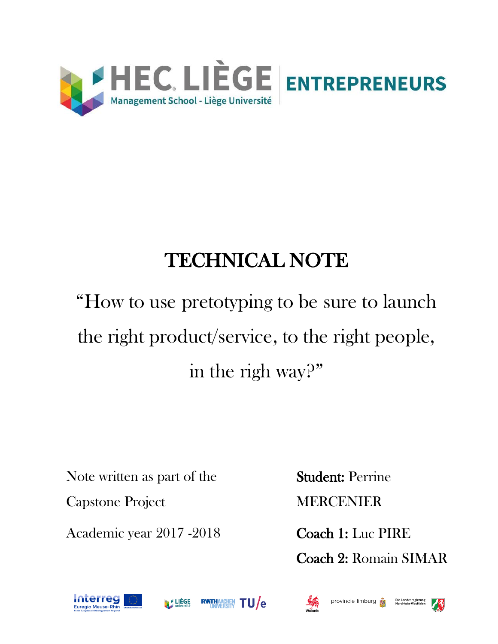

# TECHNICAL NOTE

# "How to use pretotyping to be sure to launch the right product/service, to the right people, in the righ way?"

Note written as part of the

Capstone Project

Academic year 2017 -2018

Student: Perrine MERCENIER

Coach 1: Luc PIRE Coach 2: Romain SIMAR







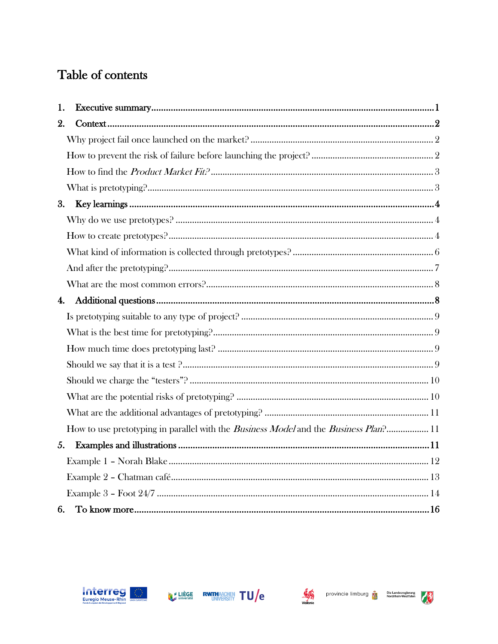# Table of contents

| 1.                 |                                                                                                     |  |
|--------------------|-----------------------------------------------------------------------------------------------------|--|
| 2.                 |                                                                                                     |  |
|                    |                                                                                                     |  |
|                    |                                                                                                     |  |
|                    |                                                                                                     |  |
|                    |                                                                                                     |  |
| 3.                 |                                                                                                     |  |
|                    |                                                                                                     |  |
|                    |                                                                                                     |  |
|                    |                                                                                                     |  |
|                    |                                                                                                     |  |
|                    |                                                                                                     |  |
| $\boldsymbol{4}$ . |                                                                                                     |  |
|                    |                                                                                                     |  |
|                    |                                                                                                     |  |
|                    |                                                                                                     |  |
|                    |                                                                                                     |  |
|                    |                                                                                                     |  |
|                    |                                                                                                     |  |
|                    |                                                                                                     |  |
|                    | How to use pretotyping in parallel with the <i>Business Model</i> and the <i>Business Plan</i> ? 11 |  |
| 5.                 |                                                                                                     |  |
|                    |                                                                                                     |  |
|                    |                                                                                                     |  |
|                    |                                                                                                     |  |
| 6.                 |                                                                                                     |  |





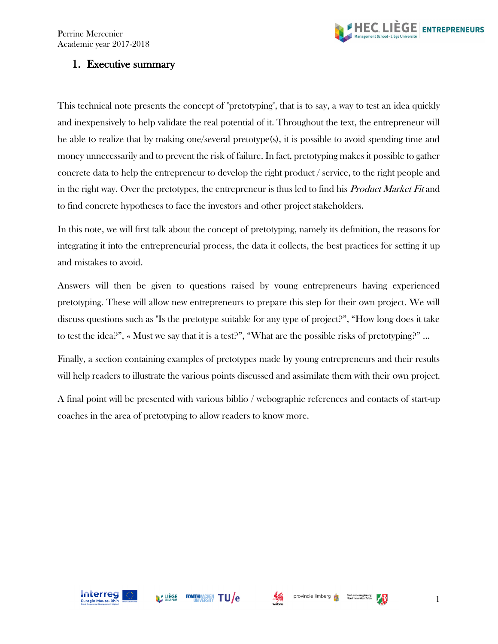

# <span id="page-2-0"></span>1. Executive summary

This technical note presents the concept of "pretotyping", that is to say, a way to test an idea quickly and inexpensively to help validate the real potential of it. Throughout the text, the entrepreneur will be able to realize that by making one/several pretotype(s), it is possible to avoid spending time and money unnecessarily and to prevent the risk of failure. In fact, pretotyping makes it possible to gather concrete data to help the entrepreneur to develop the right product / service, to the right people and in the right way. Over the pretotypes, the entrepreneur is thus led to find his Product Market Fit and to find concrete hypotheses to face the investors and other project stakeholders.

In this note, we will first talk about the concept of pretotyping, namely its definition, the reasons for integrating it into the entrepreneurial process, the data it collects, the best practices for setting it up and mistakes to avoid.

Answers will then be given to questions raised by young entrepreneurs having experienced pretotyping. These will allow new entrepreneurs to prepare this step for their own project. We will discuss questions such as "Is the pretotype suitable for any type of project?", "How long does it take to test the idea?", « Must we say that it is a test?", "What are the possible risks of pretotyping?" ...

Finally, a section containing examples of pretotypes made by young entrepreneurs and their results will help readers to illustrate the various points discussed and assimilate them with their own project.

A final point will be presented with various biblio / webographic references and contacts of start-up coaches in the area of pretotyping to allow readers to know more.





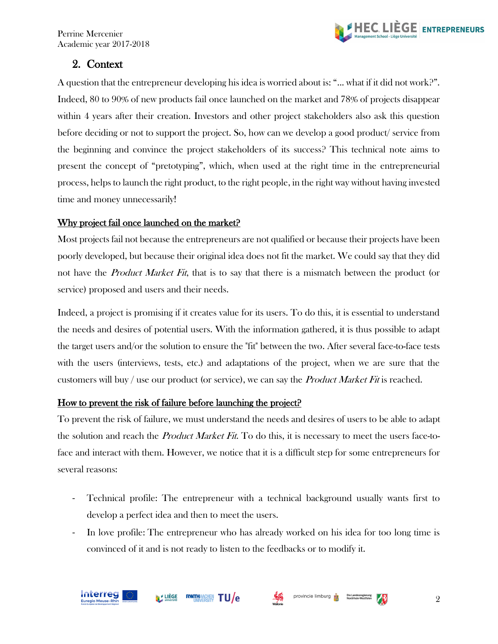

# <span id="page-3-0"></span>2. Context

A question that the entrepreneur developing his idea is worried about is: "... what if it did not work?". Indeed, 80 to 90% of new products fail once launched on the market and 78% of projects disappear within 4 years after their creation. Investors and other project stakeholders also ask this question before deciding or not to support the project. So, how can we develop a good product/ service from the beginning and convince the project stakeholders of its success? This technical note aims to present the concept of "pretotyping", which, when used at the right time in the entrepreneurial process, helps to launch the right product, to the right people, in the right way without having invested time and money unnecessarily!

#### <span id="page-3-1"></span>Why project fail once launched on the market?

Most projects fail not because the entrepreneurs are not qualified or because their projects have been poorly developed, but because their original idea does not fit the market. We could say that they did not have the *Product Market Fit*, that is to say that there is a mismatch between the product (or service) proposed and users and their needs.

Indeed, a project is promising if it creates value for its users. To do this, it is essential to understand the needs and desires of potential users. With the information gathered, it is thus possible to adapt the target users and/or the solution to ensure the "fit" between the two. After several face-to-face tests with the users (interviews, tests, etc.) and adaptations of the project, when we are sure that the customers will buy / use our product (or service), we can say the *Product Market Fit* is reached.

#### <span id="page-3-2"></span>How to prevent the risk of failure before launching the project?

To prevent the risk of failure, we must understand the needs and desires of users to be able to adapt the solution and reach the *Product Market Fit*. To do this, it is necessary to meet the users face-toface and interact with them. However, we notice that it is a difficult step for some entrepreneurs for several reasons:

- Technical profile: The entrepreneur with a technical background usually wants first to develop a perfect idea and then to meet the users.
- In love profile: The entrepreneur who has already worked on his idea for too long time is convinced of it and is not ready to listen to the feedbacks or to modify it.

**MELIÈGE** 

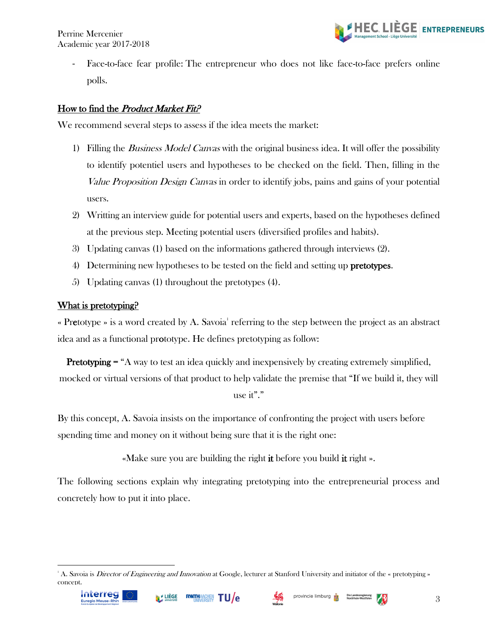

Face-to-face fear profile: The entrepreneur who does not like face-to-face prefers online polls.

#### <span id="page-4-0"></span>How to find the *Product Market Fit?*

We recommend several steps to assess if the idea meets the market:

- 1) Filling the *Business Model Canvas* with the original business idea. It will offer the possibility to identify potentiel users and hypotheses to be checked on the field. Then, filling in the Value Proposition Design Canvas in order to identify jobs, pains and gains of your potential users.
- 2) Writting an interview guide for potential users and experts, based on the hypotheses defined at the previous step. Meeting potential users (diversified profiles and habits).
- 3) Updating canvas (1) based on the informations gathered through interviews (2).
- 4) Determining new hypotheses to be tested on the field and setting up pretotypes.
- 5) Updating canvas (1) throughout the pretotypes (4).

#### <span id="page-4-1"></span>What is pretotyping?

« Pretotype » is a word created by A. Savoia<sup>1</sup> referring to the step between the project as an abstract idea and as a functional prototype. He defines pretotyping as follow:

Pretotyping = "A way to test an idea quickly and inexpensively by creating extremely simplified, mocked or virtual versions of that product to help validate the premise that "If we build it, they will use it"."

By this concept, A. Savoia insists on the importance of confronting the project with users before spending time and money on it without being sure that it is the right one:

«Make sure you are building the right it before you build it right ».

The following sections explain why integrating pretotyping into the entrepreneurial process and concretely how to put it into place.



<sup>&</sup>lt;sup>1</sup> A. Savoia is *Director of Engineering and Innovation* at Google, lecturer at Stanford University and initiator of the « pretotyping » concept.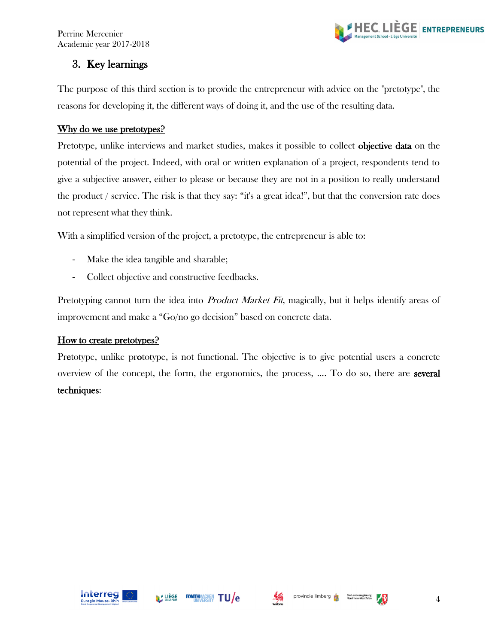

# <span id="page-5-0"></span>3. Key learnings

The purpose of this third section is to provide the entrepreneur with advice on the "pretotype", the reasons for developing it, the different ways of doing it, and the use of the resulting data.

#### <span id="page-5-1"></span>Why do we use pretotypes?

Pretotype, unlike interviews and market studies, makes it possible to collect objective data on the potential of the project. Indeed, with oral or written explanation of a project, respondents tend to give a subjective answer, either to please or because they are not in a position to really understand the product / service. The risk is that they say: "it's a great idea!", but that the conversion rate does not represent what they think.

With a simplified version of the project, a pretotype, the entrepreneur is able to:

- Make the idea tangible and sharable;
- Collect objective and constructive feedbacks.

Pretotyping cannot turn the idea into *Product Market Fit*, magically, but it helps identify areas of improvement and make a "Go/no go decision" based on concrete data.

#### <span id="page-5-2"></span>How to create pretotypes?

Pretotype, unlike prototype, is not functional. The objective is to give potential users a concrete overview of the concept, the form, the ergonomics, the process, .... To do so, there are several techniques:





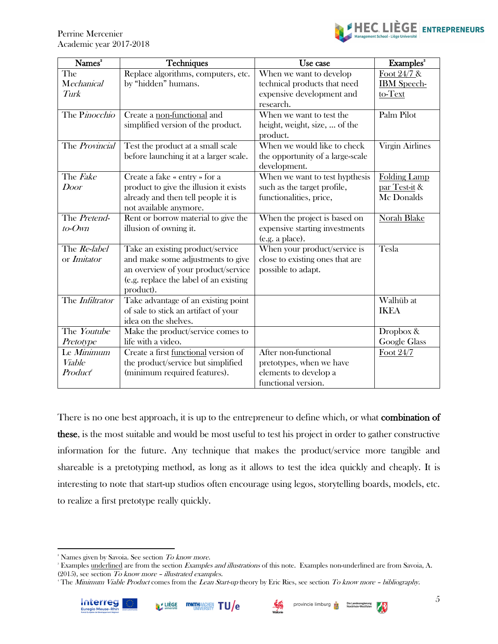

| $\overline{\mathbf{N}}$ ames <sup>2</sup> | <b>Techniques</b>                                              | Use case                         | Examples <sup>8</sup>  |  |
|-------------------------------------------|----------------------------------------------------------------|----------------------------------|------------------------|--|
| The                                       | Replace algorithms, computers, etc.<br>When we want to develop |                                  | Foot $24/7$ &          |  |
| Mechanical                                | by "hidden" humans.                                            | technical products that need     | <b>IBM</b> Speech-     |  |
| Turk                                      |                                                                | expensive development and        | to-Text                |  |
|                                           |                                                                | research.                        |                        |  |
| The Pinocchio                             | Create a non-functional and                                    | When we want to test the         | Palm Pilot             |  |
|                                           | simplified version of the product.                             | height, weight, size,  of the    |                        |  |
|                                           |                                                                | product.                         |                        |  |
| The Provincial                            | Test the product at a small scale                              | When we would like to check      | <b>Virgin Airlines</b> |  |
|                                           | before launching it at a larger scale.                         | the opportunity of a large-scale |                        |  |
|                                           |                                                                | development.                     |                        |  |
| The <i>Fake</i>                           | Create a fake « entry » for a                                  | When we want to test hypthesis   | <b>Folding Lamp</b>    |  |
| Door                                      | product to give the illusion it exists                         | such as the target profile,      | par Test-it &          |  |
|                                           | already and then tell people it is                             | functionalities, price,          | Mc Donalds             |  |
|                                           | not available anymore.                                         |                                  |                        |  |
| The Pretend-                              | Rent or borrow material to give the                            | When the project is based on     | <b>Norah Blake</b>     |  |
| $to$ - $O$ wn                             | illusion of owning it.                                         | expensive starting investments   |                        |  |
|                                           |                                                                | (e.g. a place).                  |                        |  |
| The Re-label                              | Take an existing product/service                               | When your product/service is     | Tesla                  |  |
| or <i>Imitator</i>                        | and make some adjustments to give                              | close to existing ones that are  |                        |  |
|                                           | an overview of your product/service                            | possible to adapt.               |                        |  |
|                                           | (e.g. replace the label of an existing                         |                                  |                        |  |
|                                           | product).                                                      |                                  |                        |  |
| The Infiltrator                           | Take advantage of an existing point                            |                                  | Walhüb at              |  |
|                                           | of sale to stick an artifact of your                           |                                  | <b>IKEA</b>            |  |
|                                           | idea on the shelves.                                           |                                  |                        |  |
| The Youtube                               | Make the product/service comes to                              |                                  | Dropbox &              |  |
| Pretotype                                 | life with a video.                                             |                                  | Google Glass           |  |
| Le Minimum                                | Create a first functional version of                           | After non-functional             | Foot 24/7              |  |
| <b>Viable</b>                             | the product/service but simplified                             | pretotypes, when we have         |                        |  |
| Product                                   | (minimum required features).                                   | elements to develop a            |                        |  |
|                                           |                                                                | functional version.              |                        |  |

There is no one best approach, it is up to the entrepreneur to define which, or what **combination of** these, is the most suitable and would be most useful to test his project in order to gather constructive information for the future. Any technique that makes the product/service more tangible and shareable is a pretotyping method, as long as it allows to test the idea quickly and cheaply. It is interesting to note that start-up studios often encourage using legos, storytelling boards, models, etc. to realize a first pretotype really quickly.





<sup>&</sup>lt;sup>2</sup> Names given by Savoia. See section To know more.

<sup>&</sup>lt;sup>3</sup> Examples underlined are from the section *Examples and illustrations* of this note. Examples non-underlined are from Savoia, A. (2015), see section To know more – illustrated examples.

<sup>&</sup>lt;sup>4</sup> The Minimum Viable Product comes from the Lean Start-up theory by Eric Ries, see section To know more - bibliography.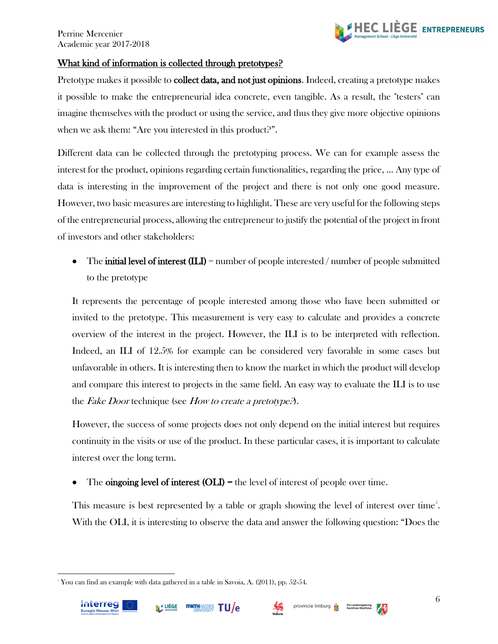

#### <span id="page-7-0"></span>What kind of information is collected through pretotypes?

Pretotype makes it possible to **collect data, and not just opinions.** Indeed, creating a pretotype makes it possible to make the entrepreneurial idea concrete, even tangible. As a result, the "testers" can imagine themselves with the product or using the service, and thus they give more objective opinions when we ask them: "Are you interested in this product?".

Different data can be collected through the pretotyping process. We can for example assess the interest for the product, opinions regarding certain functionalities, regarding the price, ... Any type of data is interesting in the improvement of the project and there is not only one good measure. However, two basic measures are interesting to highlight. These are very useful for the following steps of the entrepreneurial process, allowing the entrepreneur to justify the potential of the project in front of investors and other stakeholders:

• The **initial level of interest (ILI)** = number of people interested / number of people submitted to the pretotype

It represents the percentage of people interested among those who have been submitted or invited to the pretotype. This measurement is very easy to calculate and provides a concrete overview of the interest in the project. However, the ILI is to be interpreted with reflection. Indeed, an ILI of 12.5% for example can be considered very favorable in some cases but unfavorable in others. It is interesting then to know the market in which the product will develop and compare this interest to projects in the same field. An easy way to evaluate the ILI is to use the Fake Door technique (see How to create a pretotype?).

However, the success of some projects does not only depend on the initial interest but requires continuity in the visits or use of the product. In these particular cases, it is important to calculate interest over the long term.

The **oingoing level of interest (OLI)** = the level of interest of people over time.

This measure is best represented by a table or graph showing the level of interest over time<sup>5</sup>. With the OLI, it is interesting to observe the data and answer the following question: "Does the



 $5$  You can find an example with data gathered in a table in Savoia, A. (2011), pp. 52-54.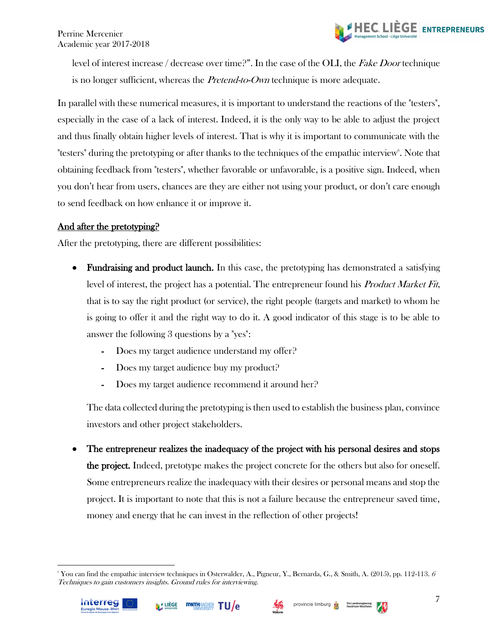

> level of interest increase / decrease over time?". In the case of the OLI, the Fake Door technique is no longer sufficient, whereas the *Pretend-to-Own* technique is more adequate.

In parallel with these numerical measures, it is important to understand the reactions of the "testers", especially in the case of a lack of interest. Indeed, it is the only way to be able to adjust the project and thus finally obtain higher levels of interest. That is why it is important to communicate with the "testers" during the pretotyping or after thanks to the techniques of the empathic interview<sup>6</sup>. Note that obtaining feedback from "testers", whether favorable or unfavorable, is a positive sign. Indeed, when you don't hear from users, chances are they are either not using your product, or don't care enough to send feedback on how enhance it or improve it.

### <span id="page-8-0"></span>And after the pretotyping?

After the pretotyping, there are different possibilities:

- Fundraising and product launch. In this case, the pretotyping has demonstrated a satisfying level of interest, the project has a potential. The entrepreneur found his *Product Market Fit*, that is to say the right product (or service), the right people (targets and market) to whom he is going to offer it and the right way to do it. A good indicator of this stage is to be able to answer the following 3 questions by a "yes":
	- Does my target audience understand my offer?
	- Does my target audience buy my product?
	- Does my target audience recommend it around her?

The data collected during the pretotyping is then used to establish the business plan, convince investors and other project stakeholders.

• The entrepreneur realizes the inadequacy of the project with his personal desires and stops the project. Indeed, pretotype makes the project concrete for the others but also for oneself. Some entrepreneurs realize the inadequacy with their desires or personal means and stop the project. It is important to note that this is not a failure because the entrepreneur saved time, money and energy that he can invest in the reflection of other projects!

<sup>&</sup>lt;sup>6</sup> You can find the empathic interview techniques in Osterwalder, A., Pigneur, Y., Bernarda, G., & Smith, A. (2015), pp. 112-113.  $\delta$ Techniques to gain customers insights. Ground rules for interviewing.





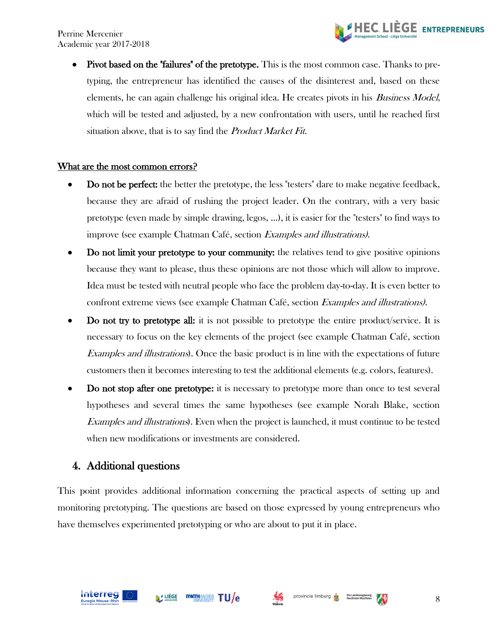

• Pivot based on the "failures" of the pretotype. This is the most common case. Thanks to pretyping, the entrepreneur has identified the causes of the disinterest and, based on these elements, he can again challenge his original idea. He creates pivots in his Business Model, which will be tested and adjusted, by a new confrontation with users, until he reached first situation above, that is to say find the Product Market Fit.

#### <span id="page-9-0"></span>What are the most common errors?

- Do not be perfect: the better the pretotype, the less "testers" dare to make negative feedback, because they are afraid of rushing the project leader. On the contrary, with a very basic pretotype (even made by simple drawing, legos, ...), it is easier for the "testers" to find ways to improve (see example Chatman Café, section Examples and illustrations).
- Do not limit your pretotype to your community: the relatives tend to give positive opinions because they want to please, thus these opinions are not those which will allow to improve. Idea must be tested with neutral people who face the problem day-to-day. It is even better to confront extreme views (see example Chatman Café, section Examples and illustrations).
- Do not try to pretotype all: it is not possible to pretotype the entire product/service. It is necessary to focus on the key elements of the project (see example Chatman Café, section Examples and illustrations). Once the basic product is in line with the expectations of future customers then it becomes interesting to test the additional elements (e.g. colors, features).
- Do not stop after one pretotype: it is necessary to pretotype more than once to test several hypotheses and several times the same hypotheses (see example Norah Blake, section Examples and illustrations). Even when the project is launched, it must continue to be tested when new modifications or investments are considered.

#### <span id="page-9-1"></span>4. Additional questions

This point provides additional information concerning the practical aspects of setting up and monitoring pretotyping. The questions are based on those expressed by young entrepreneurs who have themselves experimented pretotyping or who are about to put it in place.



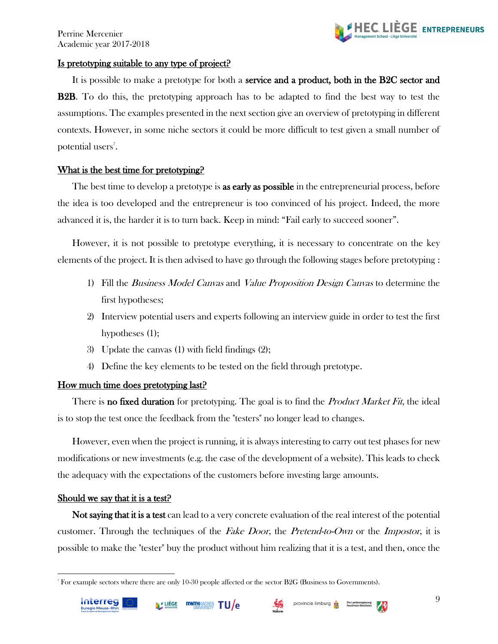

#### <span id="page-10-0"></span>Is pretotyping suitable to any type of project?

It is possible to make a pretotype for both a service and a product, both in the B2C sector and **B2B.** To do this, the pretotyping approach has to be adapted to find the best way to test the assumptions. The examples presented in the next section give an overview of pretotyping in different contexts. However, in some niche sectors it could be more difficult to test given a small number of potential users<sup>7</sup>.

#### <span id="page-10-1"></span>What is the best time for pretotyping?

The best time to develop a pretotype is **as early as possible** in the entrepreneurial process, before the idea is too developed and the entrepreneur is too convinced of his project. Indeed, the more advanced it is, the harder it is to turn back. Keep in mind: "Fail early to succeed sooner".

However, it is not possible to pretotype everything, it is necessary to concentrate on the key elements of the project. It is then advised to have go through the following stages before pretotyping :

- 1) Fill the *Business Model Canvas* and *Value Proposition Design Canvas* to determine the first hypotheses;
- 2) Interview potential users and experts following an interview guide in order to test the first hypotheses (1);
- 3) Update the canvas (1) with field findings (2);
- 4) Define the key elements to be tested on the field through pretotype.

#### <span id="page-10-2"></span>How much time does pretotyping last?

There is **no fixed duration** for pretotyping. The goal is to find the *Product Market Fit*, the ideal is to stop the test once the feedback from the "testers" no longer lead to changes.

However, even when the project is running, it is always interesting to carry out test phases for new modifications or new investments (e.g. the case of the development of a website). This leads to check the adequacy with the expectations of the customers before investing large amounts.

#### <span id="page-10-3"></span>Should we say that it is a test?

Not saying that it is a test can lead to a very concrete evaluation of the real interest of the potential customer. Through the techniques of the Fake Door, the Pretend-to-Own or the Impostor, it is possible to make the "tester" buy the product without him realizing that it is a test, and then, once the



<sup>7</sup> For example sectors where there are only 10-30 people affected or the sector B2G (Business to Governments).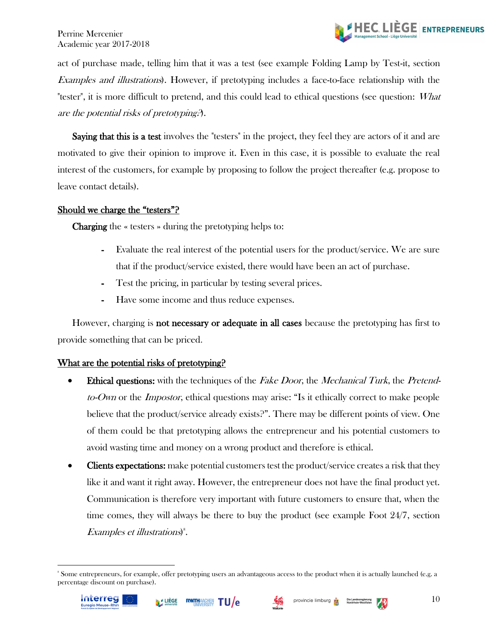

act of purchase made, telling him that it was a test (see example Folding Lamp by Test-it, section Examples and illustrations). However, if pretotyping includes a face-to-face relationship with the "tester", it is more difficult to pretend, and this could lead to ethical questions (see question: What are the potential risks of pretotyping?).

Saying that this is a test involves the "testers" in the project, they feel they are actors of it and are motivated to give their opinion to improve it. Even in this case, it is possible to evaluate the real interest of the customers, for example by proposing to follow the project thereafter (e.g. propose to leave contact details).

#### <span id="page-11-0"></span>Should we charge the "testers"?

Charging the « testers » during the pretotyping helps to:

- Evaluate the real interest of the potential users for the product/service. We are sure that if the product/service existed, there would have been an act of purchase.
- Test the pricing, in particular by testing several prices.
- Have some income and thus reduce expenses.

However, charging is **not necessary or adequate in all cases** because the pretotyping has first to provide something that can be priced.

#### <span id="page-11-1"></span>What are the potential risks of pretotyping?

- Ethical questions: with the techniques of the *Fake Door*, the *Mechanical Turk*, the *Pretend*to-Own or the *Impostor*, ethical questions may arise: "Is it ethically correct to make people believe that the product/service already exists?". There may be different points of view. One of them could be that pretotyping allows the entrepreneur and his potential customers to avoid wasting time and money on a wrong product and therefore is ethical.
- Clients expectations: make potential customers test the product/service creates a risk that they like it and want it right away. However, the entrepreneur does not have the final product yet. Communication is therefore very important with future customers to ensure that, when the time comes, they will always be there to buy the product (see example Foot 24/7, section Examples et illustrations)<sup>8</sup>.

<sup>8</sup> Some entrepreneurs, for example, offer pretotyping users an advantageous access to the product when it is actually launched (e.g. a percentage discount on purchase).



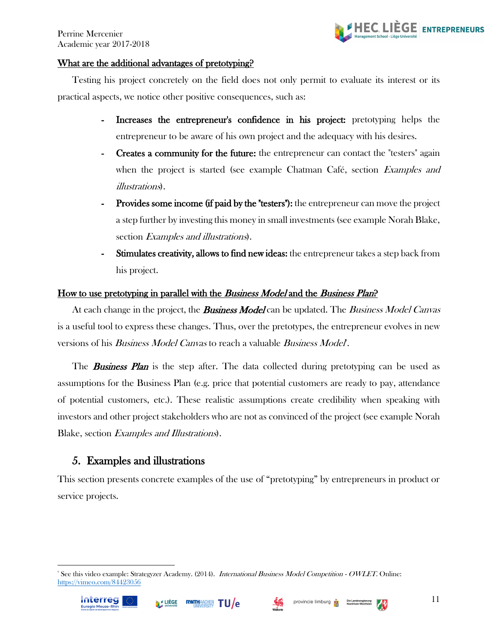

#### <span id="page-12-0"></span>What are the additional advantages of pretotyping?

Testing his project concretely on the field does not only permit to evaluate its interest or its practical aspects, we notice other positive consequences, such as:

- Increases the entrepreneur's confidence in his project: pretotyping helps the entrepreneur to be aware of his own project and the adequacy with his desires.
- **Creates a community for the future:** the entrepreneur can contact the "testers" again when the project is started (see example Chatman Café, section Examples and illustrations).
- Provides some income (if paid by the "testers"): the entrepreneur can move the project a step further by investing this money in small investments (see example Norah Blake, section Examples and illustrations).
- Stimulates creativity, allows to find new ideas: the entrepreneur takes a step back from his project.

#### <span id="page-12-1"></span>How to use pretotyping in parallel with the Business Model and the Business Plan?

At each change in the project, the **Business Model** can be updated. The Business Model Canvas is a useful tool to express these changes. Thus, over the pretotypes, the entrepreneur evolves in new versions of his *Business Model Canvas* to reach a valuable *Business Model*<sup>\*</sup>.

The **Business Plan** is the step after. The data collected during pretotyping can be used as assumptions for the Business Plan (e.g. price that potential customers are ready to pay, attendance of potential customers, etc.). These realistic assumptions create credibility when speaking with investors and other project stakeholders who are not as convinced of the project (see example Norah Blake, section Examples and Illustrations).

#### <span id="page-12-2"></span>5. Examples and illustrations

This section presents concrete examples of the use of "pretotyping" by entrepreneurs in product or service projects.

<sup>&</sup>lt;sup>9</sup> See this video example: Strategyzer Academy. (2014). *International Business Model Competition - OWLET*. Online: <https://vimeo.com/84423056>







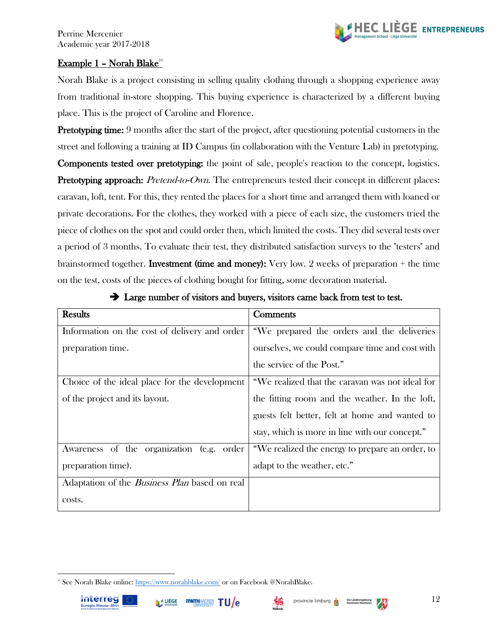

#### <span id="page-13-0"></span><u>Example 1 - Norah Blake<sup>10</sup></u>

Norah Blake is a project consisting in selling quality clothing through a shopping experience away from traditional in-store shopping. This buying experience is characterized by a different buying place. This is the project of Caroline and Florence.

Pretotyping time: 9 months after the start of the project, after questioning potential customers in the street and following a training at ID Campus (in collaboration with the Venture Lab) in pretotyping. Components tested over pretotyping: the point of sale, people's reaction to the concept, logistics. **Pretotyping approach:** Pretend-to-Own. The entrepreneurs tested their concept in different places: caravan, loft, tent. For this, they rented the places for a short time and arranged them with loaned or private decorations. For the clothes, they worked with a piece of each size, the customers tried the piece of clothes on the spot and could order then, which limited the costs. They did several tests over a period of 3 months. To evaluate their test, they distributed satisfaction surveys to the "testers" and brainstormed together. **Investment (time and money):** Very low. 2 weeks of preparation  $+$  the time on the test, costs of the pieces of clothing bought for fitting, some decoration material.

| <b>Results</b>                                       | Comments                                        |  |  |  |
|------------------------------------------------------|-------------------------------------------------|--|--|--|
| Information on the cost of delivery and order        | "We prepared the orders and the deliveries      |  |  |  |
| preparation time.                                    | ourselves, we could compare time and cost with  |  |  |  |
|                                                      | the service of the Post."                       |  |  |  |
| Choice of the ideal place for the development        | "We realized that the caravan was not ideal for |  |  |  |
| of the project and its layout.                       | the fitting room and the weather. In the loft,  |  |  |  |
|                                                      | guests felt better, felt at home and wanted to  |  |  |  |
|                                                      | stay, which is more in line with our concept."  |  |  |  |
| Awareness of the organization (e.g. order            | "We realized the energy to prepare an order, to |  |  |  |
| preparation time).                                   | adapt to the weather, etc."                     |  |  |  |
| Adaptation of the <i>Business Plan</i> based on real |                                                 |  |  |  |
| costs.                                               |                                                 |  |  |  |

#### ➔ Large number of visitors and buyers, visitors came back from test to test.







<sup>&</sup>lt;sup>10</sup> See Norah Blake online[: https://www.norahblake.com/](https://www.norahblake.com/) or on Facebook @NorahBlake.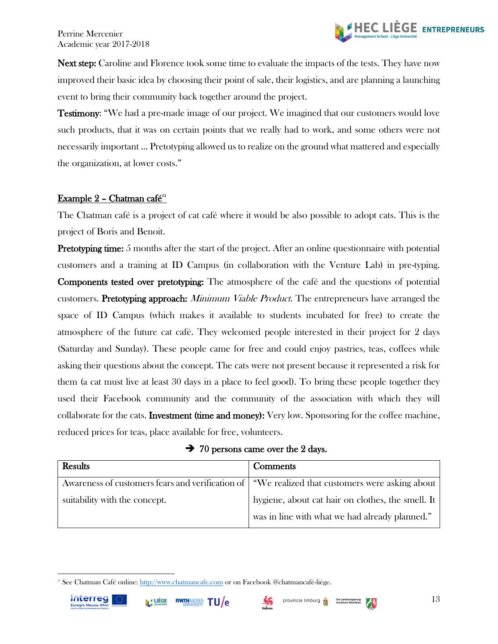

Next step: Caroline and Florence took some time to evaluate the impacts of the tests. They have now improved their basic idea by choosing their point of sale, their logistics, and are planning a launching event to bring their community back together around the project.

Testimony: "We had a pre-made image of our project. We imagined that our customers would love such products, that it was on certain points that we really had to work, and some others were not necessarily important ... Pretotyping allowed us to realize on the ground what mattered and especially the organization, at lower costs."

#### <span id="page-14-0"></span>Example  $2$  - Chatman café<sup>11</sup>

The Chatman café is a project of cat café where it would be also possible to adopt cats. This is the project of Boris and Benoit.

**Pretotyping time:** 5 months after the start of the project. After an online questionnaire with potential customers and a training at ID Campus (in collaboration with the Venture Lab) in pre-typing. Components tested over pretotyping: The atmosphere of the café and the questions of potential customers. Pretotyping approach: *Minimum Viable Product*. The entrepreneurs have arranged the space of ID Campus (which makes it available to students incubated for free) to create the atmosphere of the future cat café. They welcomed people interested in their project for 2 days (Saturday and Sunday). These people came for free and could enjoy pastries, teas, coffees while asking their questions about the concept. The cats were not present because it represented a risk for them (a cat must live at least 30 days in a place to feel good). To bring these people together they used their Facebook community and the community of the association with which they will collaborate for the cats. Investment (time and money): Very low. Sponsoring for the coffee machine, reduced prices for teas, place available for free, volunteers.

 $\rightarrow$  70 persons came over the 2 days.

| Results                       | Comments                                                                                        |
|-------------------------------|-------------------------------------------------------------------------------------------------|
|                               | Awareness of customers fears and verification of "We realized that customers were asking about" |
| suitability with the concept. | hygiene, about cat hair on clothes, the smell. It                                               |
|                               | was in line with what we had already planned."                                                  |

<sup>&</sup>lt;sup>11</sup> See Chatman Café online: [http://www.chatmancafe.com](http://www.chatmancafe.com/) or on Facebook @chatmancafé-liège.





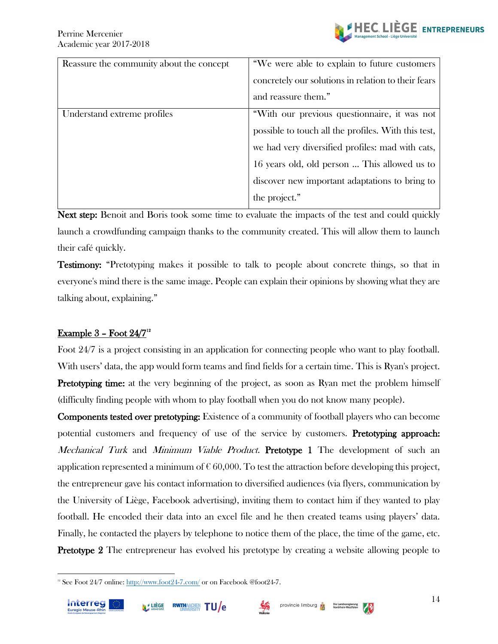| Reassure the community about the concept | "We were able to explain to future customers        |
|------------------------------------------|-----------------------------------------------------|
|                                          | concretely our solutions in relation to their fears |
|                                          | and reassure them."                                 |
| Understand extreme profiles              | "With our previous questionnaire, it was not        |
|                                          | possible to touch all the profiles. With this test, |
|                                          | we had very diversified profiles: mad with cats,    |
|                                          | 16 years old, old person  This allowed us to        |
|                                          | discover new important adaptations to bring to      |
|                                          | the project."                                       |

Next step: Benoit and Boris took some time to evaluate the impacts of the test and could quickly launch a crowdfunding campaign thanks to the community created. This will allow them to launch their café quickly.

Testimony: "Pretotyping makes it possible to talk to people about concrete things, so that in everyone's mind there is the same image. People can explain their opinions by showing what they are talking about, explaining."

#### <span id="page-15-0"></span><u>Example 3 - Foot  $24/7^2$ </u>

Foot 24/7 is a project consisting in an application for connecting people who want to play football. With users' data, the app would form teams and find fields for a certain time. This is Ryan's project. Pretotyping time: at the very beginning of the project, as soon as Ryan met the problem himself (difficulty finding people with whom to play football when you do not know many people).

Components tested over pretotyping: Existence of a community of football players who can become potential customers and frequency of use of the service by customers. Pretotyping approach: Mechanical Turk and Minimum Viable Product. Pretotype 1 The development of such an application represented a minimum of  $\epsilon$  60,000. To test the attraction before developing this project, the entrepreneur gave his contact information to diversified audiences (via flyers, communication by the University of Liège, Facebook advertising), inviting them to contact him if they wanted to play football. He encoded their data into an excel file and he then created teams using players' data. Finally, he contacted the players by telephone to notice them of the place, the time of the game, etc. **Pretotype 2** The entrepreneur has evolved his pretotype by creating a website allowing people to

<sup>&</sup>lt;sup>12</sup> See Foot 24/7 online[: http://www.foot24-7.com/](http://www.foot24-7.com/) or on Facebook @foot24-7.



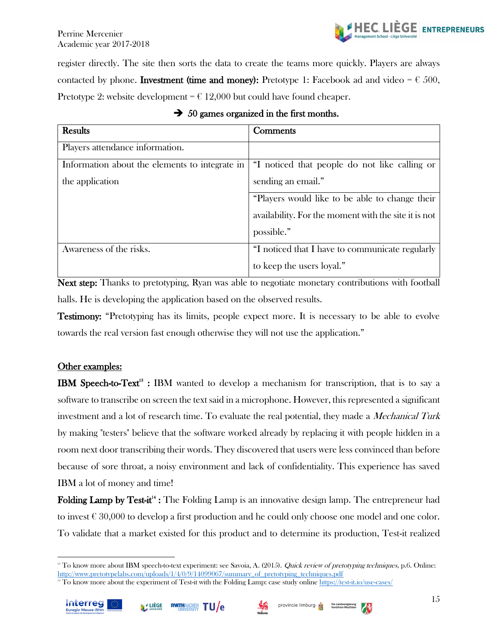

register directly. The site then sorts the data to create the teams more quickly. Players are always contacted by phone. **Investment (time and money):** Pretotype 1: Facebook ad and video =  $\epsilon$  500, Pretotype 2: website development =  $\epsilon$  12,000 but could have found cheaper.

| <b>Results</b>                                 | Comments                                             |
|------------------------------------------------|------------------------------------------------------|
| Players attendance information.                |                                                      |
| Information about the elements to integrate in | "I noticed that people do not like calling or        |
| the application                                | sending an email."                                   |
|                                                | "Players would like to be able to change their       |
|                                                | availability. For the moment with the site it is not |
|                                                | possible."                                           |
| Awareness of the risks.                        | "I noticed that I have to communicate regularly      |
|                                                | to keep the users loyal."                            |

|  |  | $\rightarrow$ 50 games organized in the first months. |  |  |  |  |
|--|--|-------------------------------------------------------|--|--|--|--|
|--|--|-------------------------------------------------------|--|--|--|--|

Next step: Thanks to pretotyping, Ryan was able to negotiate monetary contributions with football halls. He is developing the application based on the observed results.

Testimony: "Pretotyping has its limits, people expect more. It is necessary to be able to evolve towards the real version fast enough otherwise they will not use the application."

#### Other examples:

**IBM Speech-to-Text<sup>13</sup>** : IBM wanted to develop a mechanism for transcription, that is to say a software to transcribe on screen the text said in a microphone. However, this represented a significant investment and a lot of research time. To evaluate the real potential, they made a *Mechanical Turk* by making "testers" believe that the software worked already by replacing it with people hidden in a room next door transcribing their words. They discovered that users were less convinced than before because of sore throat, a noisy environment and lack of confidentiality. This experience has saved IBM a lot of money and time!

Folding Lamp by Test-it<sup>14</sup>: The Folding Lamp is an innovative design lamp. The entrepreneur had to invest  $\epsilon$  30,000 to develop a first production and he could only choose one model and one color. To validate that a market existed for this product and to determine its production, Test-it realized

<sup>&</sup>lt;sup>14</sup> To know more about the experiment of Test-it with the Folding Lamp: case study online<https://test-it.io/use-cases/>





15

<sup>&</sup>lt;sup>13</sup> To know more about IBM speech-to-text experiment: see Savoia, A. (2015). Quick review of pretotyping techniques, p.6. Online: [http://www.pretotypelabs.com/uploads/1/4/0/9/14099067/summary\\_of\\_pretotyping\\_techniques.pdf](http://www.pretotypelabs.com/uploads/1/4/0/9/14099067/summary_of_pretotyping_techniques.pdf)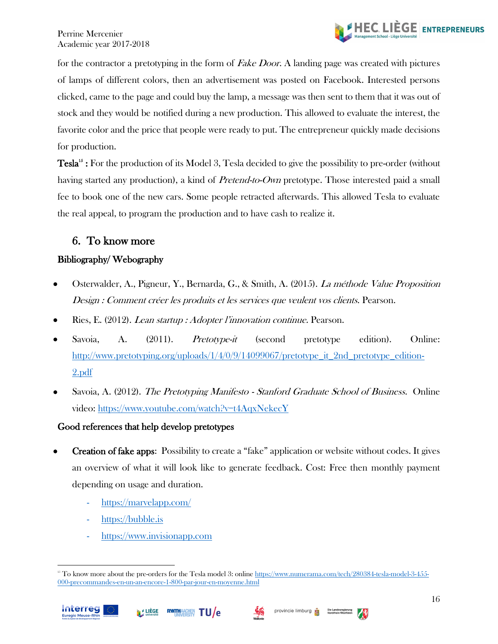

for the contractor a pretotyping in the form of *Fake Door*. A landing page was created with pictures of lamps of different colors, then an advertisement was posted on Facebook. Interested persons clicked, came to the page and could buy the lamp, a message was then sent to them that it was out of stock and they would be notified during a new production. This allowed to evaluate the interest, the favorite color and the price that people were ready to put. The entrepreneur quickly made decisions for production.

Tesla<sup>15</sup>: For the production of its Model 3, Tesla decided to give the possibility to pre-order (without having started any production), a kind of *Pretend-to-Own* pretotype. Those interested paid a small fee to book one of the new cars. Some people retracted afterwards. This allowed Tesla to evaluate the real appeal, to program the production and to have cash to realize it.

# <span id="page-17-0"></span>6. To know more

#### Bibliography/ Webography

- Osterwalder, A., Pigneur, Y., Bernarda, G., & Smith, A. (2015). La méthode Value Proposition Design : Comment créer les produits et les services que veulent vos clients. Pearson.
- Ries, E. (2012). Lean startup : Adopter l'innovation continue. Pearson.
- Savoia, A. (2011). *Pretotype-it* (second pretotype edition). Online: http://www.pretotyping.org/uploads/1/4/0/9/14099067/pretotype it 2nd pretotype edition-[2.pdf](http://www.pretotyping.org/uploads/1/4/0/9/14099067/pretotype_it_2nd_pretotype_edition-2.pdf)
- Savoia, A. (2012). The Pretotyping Manifesto Stanford Graduate School of Business. Online video: <https://www.youtube.com/watch?v=t4AqxNekecY>

#### Good references that help develop pretotypes

- Creation of fake apps: Possibility to create a "fake" application or website without codes. It gives an overview of what it will look like to generate feedback. Cost: Free then monthly payment depending on usage and duration.
	- <https://marvelapp.com/>
	- [https://bubble.is](https://bubble.is/)
	- [https://www.invisionapp.com](https://www.invisionapp.com/)





<sup>&</sup>lt;sup>15</sup> To know more about the pre-orders for the Tesla model 3: online [https://www.numerama.com/tech/280384-tesla-model-3-455-](https://www.numerama.com/tech/280384-tesla-model-3-455-000-precommandes-en-un-an-encore-1-800-par-jour-en-moyenne.html) [000-precommandes-en-un-an-encore-1-800-par-jour-en-moyenne.html](https://www.numerama.com/tech/280384-tesla-model-3-455-000-precommandes-en-un-an-encore-1-800-par-jour-en-moyenne.html)